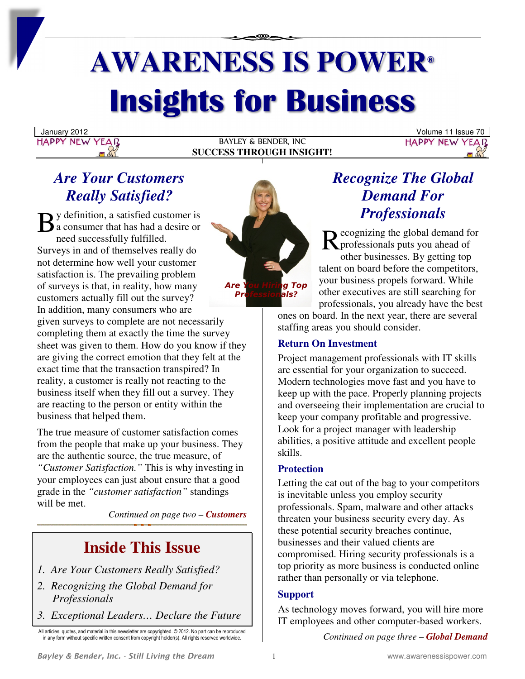# **AWARENESS IS POWER® Insights for Business**

YEAR

BAYLEY & BENDER, INC **SUCCESS THROUGH INSIGHT!**

January 2012 Volume 11 Issue 70 **HAPPY NEW YE** 

# *Are Your Customers Really Satisfied?*

 $\mathbf{B}$ <sup>y</sup> definition, a satisfied customer is<br>a consumer that has had a desire or a consumer that has had a desire or need successfully fulfilled. Surveys in and of themselves really do not determine how well your customer satisfaction is. The prevailing problem of surveys is that, in reality, how many customers actually fill out the survey? In addition, many consumers who are given surveys to complete are not necessarily completing them at exactly the time the survey sheet was given to them. How do you know if they are giving the correct emotion that they felt at the exact time that the transaction transpired? In reality, a customer is really not reacting to the

business itself when they fill out a survey. They are reacting to the person or entity within the business that helped them.

The true measure of customer satisfaction comes from the people that make up your business. They are the authentic source, the true measure, of

*"Customer Satisfaction."* This is why investing in your employees can just about ensure that a good grade in the *"customer satisfaction"* standings will be met.

*Continued on page two – Customers* 

# **Inside This Issue**

- *1. Are Your Customers Really Satisfied?*
- *2. Recognizing the Global Demand for Professionals*
- *3. Exceptional Leaders… Declare the Future*

All articles, quotes, and material in this newsletter are copyrighted. © 2012. No part can be reproduced in any form without specific written consent from copyright holder(s). All rights reserved worldwide



## *Recognize The Global Demand For Professionals*

ecognizing the global demand for Recognizing the global demand for professionals puts you ahead of other businesses. By getting top talent on board before the competitors, your business propels forward. While other executives are still searching for professionals, you already have the best

ones on board. In the next year, there are several staffing areas you should consider.

## **Return On Investment**

Project management professionals with IT skills are essential for your organization to succeed. Modern technologies move fast and you have to keep up with the pace. Properly planning projects and overseeing their implementation are crucial to keep your company profitable and progressive. Look for a project manager with leadership abilities, a positive attitude and excellent people skills.

#### **Protection**

Letting the cat out of the bag to your competitors is inevitable unless you employ security professionals. Spam, malware and other attacks threaten your business security every day. As these potential security breaches continue, businesses and their valued clients are compromised. Hiring security professionals is a top priority as more business is conducted online rather than personally or via telephone.

#### **Support**

As technology moves forward, you will hire more IT employees and other computer-based workers.

*Continued on page three – Global Demand*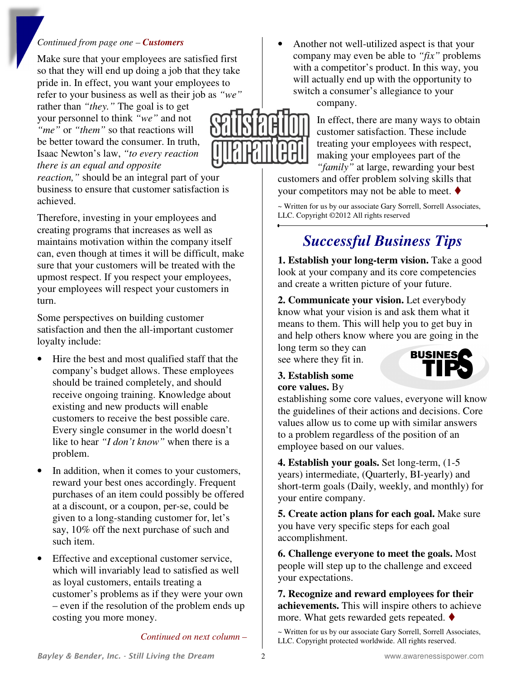#### *Continued from page one – Customers*

Make sure that your employees are satisfied first so that they will end up doing a job that they take pride in. In effect, you want your employees to refer to your business as well as their job as *"we"*

rather than *"they."* The goal is to get your personnel to think *"we"* and not *"me"* or *"them"* so that reactions will be better toward the consumer. In truth, Isaac Newton's law, *"to every reaction there is an equal and opposite* 

*reaction,"* should be an integral part of your business to ensure that customer satisfaction is achieved.

Therefore, investing in your employees and creating programs that increases as well as maintains motivation within the company itself can, even though at times it will be difficult, make sure that your customers will be treated with the upmost respect. If you respect your employees, your employees will respect your customers in turn.

Some perspectives on building customer satisfaction and then the all-important customer loyalty include:

- Hire the best and most qualified staff that the company's budget allows. These employees should be trained completely, and should receive ongoing training. Knowledge about existing and new products will enable customers to receive the best possible care. Every single consumer in the world doesn't like to hear *"I don't know"* when there is a problem.
- In addition, when it comes to your customers, reward your best ones accordingly. Frequent purchases of an item could possibly be offered at a discount, or a coupon, per-se, could be given to a long-standing customer for, let's say, 10% off the next purchase of such and such item.
- Effective and exceptional customer service, which will invariably lead to satisfied as well as loyal customers, entails treating a customer's problems as if they were your own – even if the resolution of the problem ends up costing you more money.

*Continued on next column –* 

• Another not well-utilized aspect is that your company may even be able to *"fix"* problems with a competitor's product. In this way, you will actually end up with the opportunity to switch a consumer's allegiance to your company.



treating your employees with respect, making your employees part of the *"family"* at large, rewarding your best customers and offer problem solving skills that

your competitors may not be able to meet.  $\blacklozenge$ 

~ Written for us by our associate Gary Sorrell, Sorrell Associates, LLC. Copyright ©2012 All rights reserved

# *Successful Business Tips*

**1. Establish your long-term vision.** Take a good look at your company and its core competencies and create a written picture of your future.

**2. Communicate your vision.** Let everybody know what your vision is and ask them what it means to them. This will help you to get buy in and help others know where you are going in the

long term so they can see where they fit in.

#### **3. Establish some core values.** By



establishing some core values, everyone will know the guidelines of their actions and decisions. Core values allow us to come up with similar answers to a problem regardless of the position of an employee based on our values.

**4. Establish your goals.** Set long-term, (1-5 years) intermediate, (Quarterly, BI-yearly) and short-term goals (Daily, weekly, and monthly) for your entire company.

**5. Create action plans for each goal.** Make sure you have very specific steps for each goal accomplishment.

**6. Challenge everyone to meet the goals.** Most people will step up to the challenge and exceed your expectations.

**7. Recognize and reward employees for their achievements.** This will inspire others to achieve more. What gets rewarded gets repeated.  $\blacklozenge$ 

~ Written for us by our associate Gary Sorrell, Sorrell Associates, LLC. Copyright protected worldwide. All rights reserved.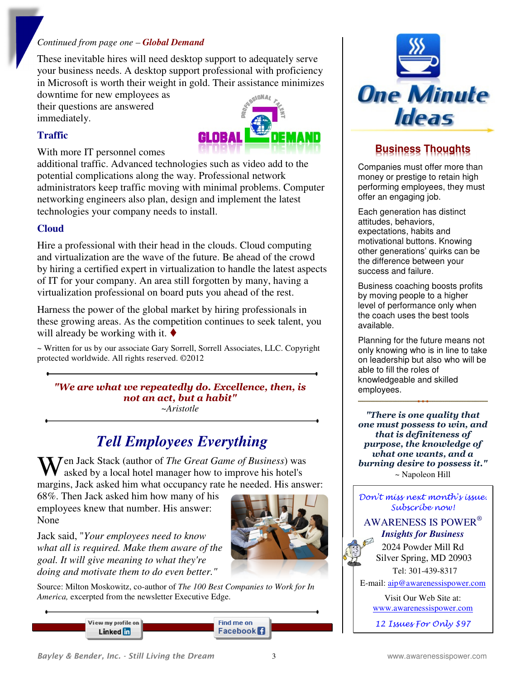#### *Continued from page one – Global Demand*

These inevitable hires will need desktop support to adequately serve your business needs. A desktop support professional with proficiency in Microsoft is worth their weight in gold. Their assistance minimizes downtime for new employees as

their questions are answered immediately.



#### **Traffic**

With more IT personnel comes

additional traffic. Advanced technologies such as video add to the potential complications along the way. Professional network administrators keep traffic moving with minimal problems. Computer networking engineers also plan, design and implement the latest technologies your company needs to install.

#### **Cloud**

Hire a professional with their head in the clouds. Cloud computing and virtualization are the wave of the future. Be ahead of the crowd by hiring a certified expert in virtualization to handle the latest aspects of IT for your company. An area still forgotten by many, having a virtualization professional on board puts you ahead of the rest.

Harness the power of the global market by hiring professionals in these growing areas. As the competition continues to seek talent, you will already be working with it.  $\blacklozenge$ 

~ Written for us by our associate Gary Sorrell, Sorrell Associates, LLC. Copyright protected worldwide. All rights reserved. ©2012

*"We are what we repeatedly do. Excellence, then, is not an act, but a habit" ~Aristotle* 

# *Tell Employees Everything*

Wen Jack Stack (author of *The Great Game of Business*) was a local hotel manager how to improve his hotel's asked by a local hotel manager how to improve his hotel's margins, Jack asked him what occupancy rate he needed. His answer:

68%. Then Jack asked him how many of his employees knew that number. His answer: None

Jack said, "*Your employees need to know what all is required. Make them aware of the goal. It will give meaning to what they're doing and motivate them to do even better."*



Source: Milton Moskowitz, co-author of *The 100 Best Companies to Work for In America,* excerpted from the newsletter Executive Edge.

View my profile on Find me on **Facebook** Linked in



## **Business Thoughts**

Companies must offer more than money or prestige to retain high performing employees, they must offer an engaging job.

Each generation has distinct attitudes, behaviors, expectations, habits and motivational buttons. Knowing other generations' quirks can be the difference between your success and failure.

Business coaching boosts profits by moving people to a higher level of performance only when the coach uses the best tools available.

Planning for the future means not only knowing who is in line to take on leadership but also who will be able to fill the roles of knowledgeable and skilled employees.

*"There is one quality that one must possess to win, and that is definiteness of purpose, the knowledge of what one wants, and a burning desire to possess it."*  ~ Napoleon Hill

Don't miss next month's issue. Subscribe now!

AWARENESS IS POWER®  *Insights for Business* 

2024 Powder Mill Rd Silver Spring, MD 20903 Tel: 301-439-8317

E-mail: aip@awarenessispower.com

Visit Our Web Site at: www.awarenessispower.com

12 Issues For Only \$97